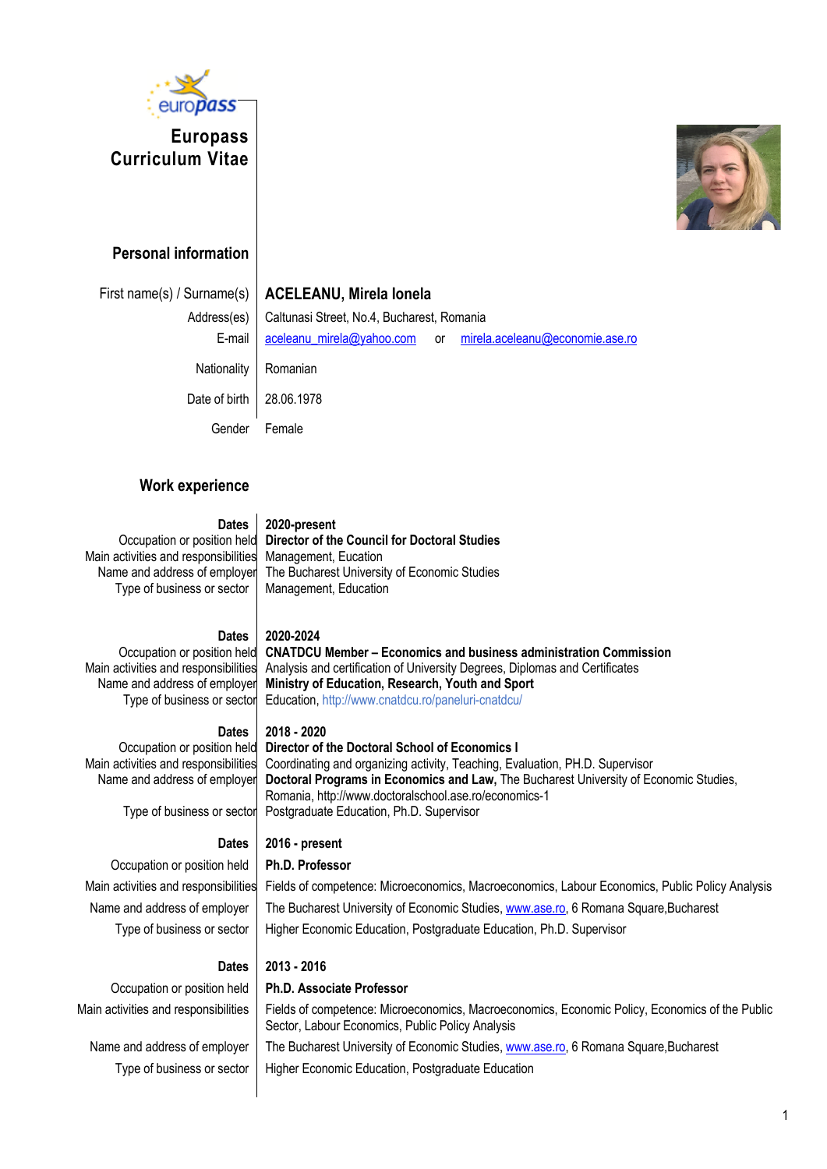

# **Europass Curriculum Vitae**



## **Personal information**

|               | First name(s) / Surname(s)   ACELEANU, Mirela Ionela |  |                                                              |  |
|---------------|------------------------------------------------------|--|--------------------------------------------------------------|--|
| Address(es)   | Caltunasi Street, No.4, Bucharest, Romania           |  |                                                              |  |
| E-mail        |                                                      |  | aceleanu_mirela@yahoo.com or mirela.aceleanu@economie.ase.ro |  |
| Nationality   | Romanian                                             |  |                                                              |  |
| Date of birth | 28.06.1978                                           |  |                                                              |  |
| Gender        | Female                                               |  |                                                              |  |

## **Work experience**

### **Dates 2020-present**

Occupation or position held Main activities and responsibilities Name and address of employer Type of business or sector

**Director of the Council for Doctoral Studies** Management, Eucation The Bucharest University of Economic Studies Management, Education

### **Dates 2020-2024**

Occupation or position held Main activities and responsibilities Name and address of employer Type of business or sector

**CNATDCU Member – Economics and business administration Commission** Analysis and certification of University Degrees, Diplomas and Certificates **Ministry of Education, Research, Youth and Sport** Education, http://www.cnatdcu.ro/paneluri-cnatdcu/

**Dates 2018 - 2020**

### Occupation or position held Main activities and responsibilities Name and address of employer

**Director of the Doctoral School of Economics I** Coordinating and organizing activity, Teaching, Evaluation, PH.D. Supervisor **Doctoral Programs in Economics and Law,** The Bucharest University of Economic Studies, Romania, http://www.doctoralschool.ase.ro/economics-1 Postgraduate Education, Ph.D. Supervisor

Type of business or sector

### **Dates 2016 - present**

Occupation or position held **Ph.D. Professor**

Main activities and responsibilities Fields of competence: Microeconomics, Macroeconomics, Labour Economics, Public Policy Analysis Name and address of employer The Bucharest University of Economic Studies, www.ase.ro, 6 Romana Square,Bucharest Type of business or sector | Higher Economic Education, Postgraduate Education, Ph.D. Supervisor

### **Dates 2013 - 2016**

### Occupation or position held **Ph.D. Associate Professor**

Main activities and responsibilities | Fields of competence: Microeconomics, Macroeconomics, Economic Policy, Economics of the Public Sector, Labour Economics, Public Policy Analysis

Name and address of employer The Bucharest University of Economic Studies, www.ase.ro, 6 Romana Square,Bucharest Type of business or sector | Higher Economic Education, Postgraduate Education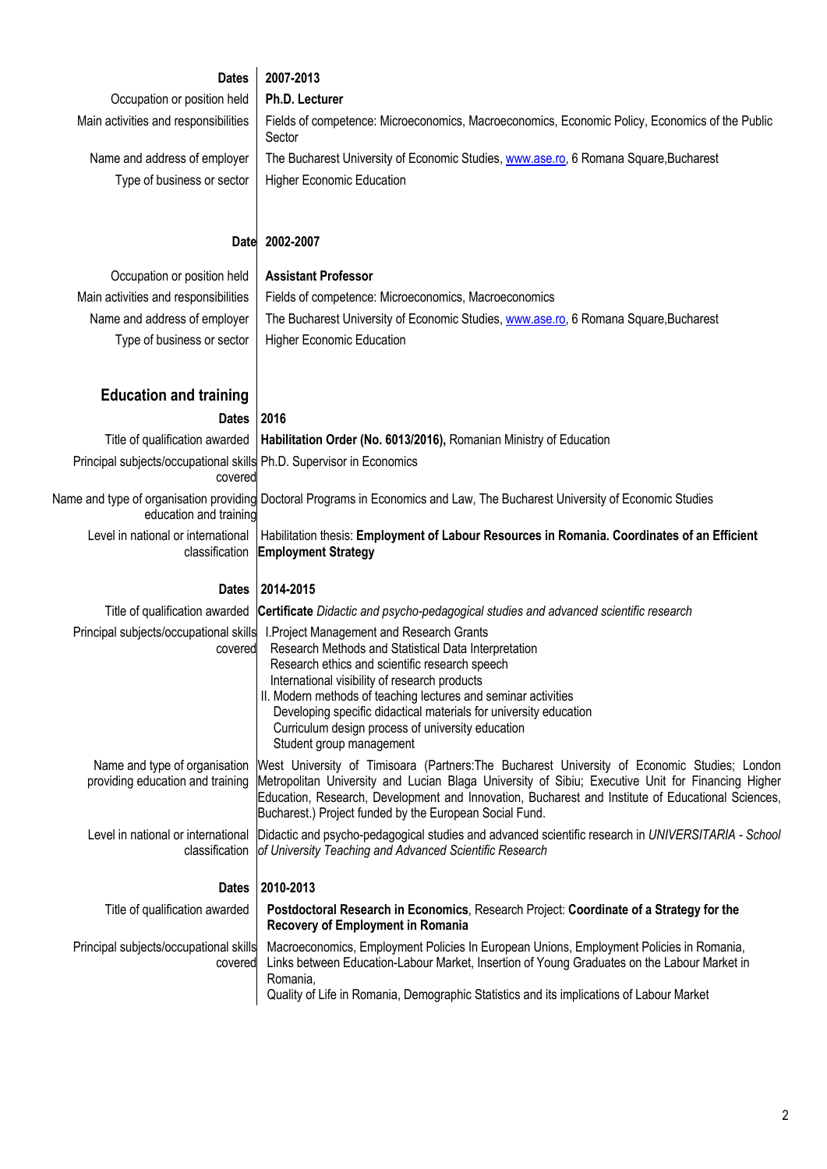| <b>Dates</b>                                                                    | 2007-2013                                                                                                                                                                                                                                                                                                                                                                                                                    |
|---------------------------------------------------------------------------------|------------------------------------------------------------------------------------------------------------------------------------------------------------------------------------------------------------------------------------------------------------------------------------------------------------------------------------------------------------------------------------------------------------------------------|
| Occupation or position held                                                     | Ph.D. Lecturer                                                                                                                                                                                                                                                                                                                                                                                                               |
| Main activities and responsibilities                                            | Fields of competence: Microeconomics, Macroeconomics, Economic Policy, Economics of the Public<br>Sector                                                                                                                                                                                                                                                                                                                     |
| Name and address of employer                                                    | The Bucharest University of Economic Studies, www.ase.ro, 6 Romana Square, Bucharest                                                                                                                                                                                                                                                                                                                                         |
| Type of business or sector                                                      | <b>Higher Economic Education</b>                                                                                                                                                                                                                                                                                                                                                                                             |
|                                                                                 |                                                                                                                                                                                                                                                                                                                                                                                                                              |
| <b>Date</b>                                                                     | 2002-2007                                                                                                                                                                                                                                                                                                                                                                                                                    |
| Occupation or position held                                                     | <b>Assistant Professor</b>                                                                                                                                                                                                                                                                                                                                                                                                   |
| Main activities and responsibilities                                            | Fields of competence: Microeconomics, Macroeconomics                                                                                                                                                                                                                                                                                                                                                                         |
| Name and address of employer                                                    | The Bucharest University of Economic Studies, www.ase.ro, 6 Romana Square, Bucharest                                                                                                                                                                                                                                                                                                                                         |
| Type of business or sector                                                      | <b>Higher Economic Education</b>                                                                                                                                                                                                                                                                                                                                                                                             |
|                                                                                 |                                                                                                                                                                                                                                                                                                                                                                                                                              |
| <b>Education and training</b>                                                   |                                                                                                                                                                                                                                                                                                                                                                                                                              |
| <b>Dates</b>                                                                    | 2016                                                                                                                                                                                                                                                                                                                                                                                                                         |
| Title of qualification awarded                                                  | Habilitation Order (No. 6013/2016), Romanian Ministry of Education                                                                                                                                                                                                                                                                                                                                                           |
| Principal subjects/occupational skills Ph.D. Supervisor in Economics<br>covered |                                                                                                                                                                                                                                                                                                                                                                                                                              |
| education and training                                                          | Name and type of organisation providing Doctoral Programs in Economics and Law, The Bucharest University of Economic Studies                                                                                                                                                                                                                                                                                                 |
| Level in national or international<br>classification                            | Habilitation thesis: Employment of Labour Resources in Romania. Coordinates of an Efficient<br><b>Employment Strategy</b>                                                                                                                                                                                                                                                                                                    |
| <b>Dates</b>                                                                    | 2014-2015                                                                                                                                                                                                                                                                                                                                                                                                                    |
|                                                                                 | Title of qualification awarded Certificate Didactic and psycho-pedagogical studies and advanced scientific research                                                                                                                                                                                                                                                                                                          |
| Principal subjects/occupational skills<br>covered                               | I. Project Management and Research Grants<br>Research Methods and Statistical Data Interpretation<br>Research ethics and scientific research speech<br>International visibility of research products<br>II. Modern methods of teaching lectures and seminar activities<br>Developing specific didactical materials for university education<br>Curriculum design process of university education<br>Student group management |
| Name and type of organisation<br>providing education and training               | West University of Timisoara (Partners: The Bucharest University of Economic Studies; London<br>Metropolitan University and Lucian Blaga University of Sibiu; Executive Unit for Financing Higher<br>Education, Research, Development and Innovation, Bucharest and Institute of Educational Sciences,<br>Bucharest.) Project funded by the European Social Fund.                                                            |
| Level in national or international<br>classification                            | Didactic and psycho-pedagogical studies and advanced scientific research in UNIVERSITARIA - School<br>of University Teaching and Advanced Scientific Research                                                                                                                                                                                                                                                                |
| <b>Dates</b>                                                                    | 2010-2013                                                                                                                                                                                                                                                                                                                                                                                                                    |
| Title of qualification awarded                                                  | Postdoctoral Research in Economics, Research Project: Coordinate of a Strategy for the<br><b>Recovery of Employment in Romania</b>                                                                                                                                                                                                                                                                                           |
| Principal subjects/occupational skills<br>covered                               | Macroeconomics, Employment Policies In European Unions, Employment Policies in Romania,<br>Links between Education-Labour Market, Insertion of Young Graduates on the Labour Market in<br>Romania,<br>Quality of Life in Romania, Demographic Statistics and its implications of Labour Market                                                                                                                               |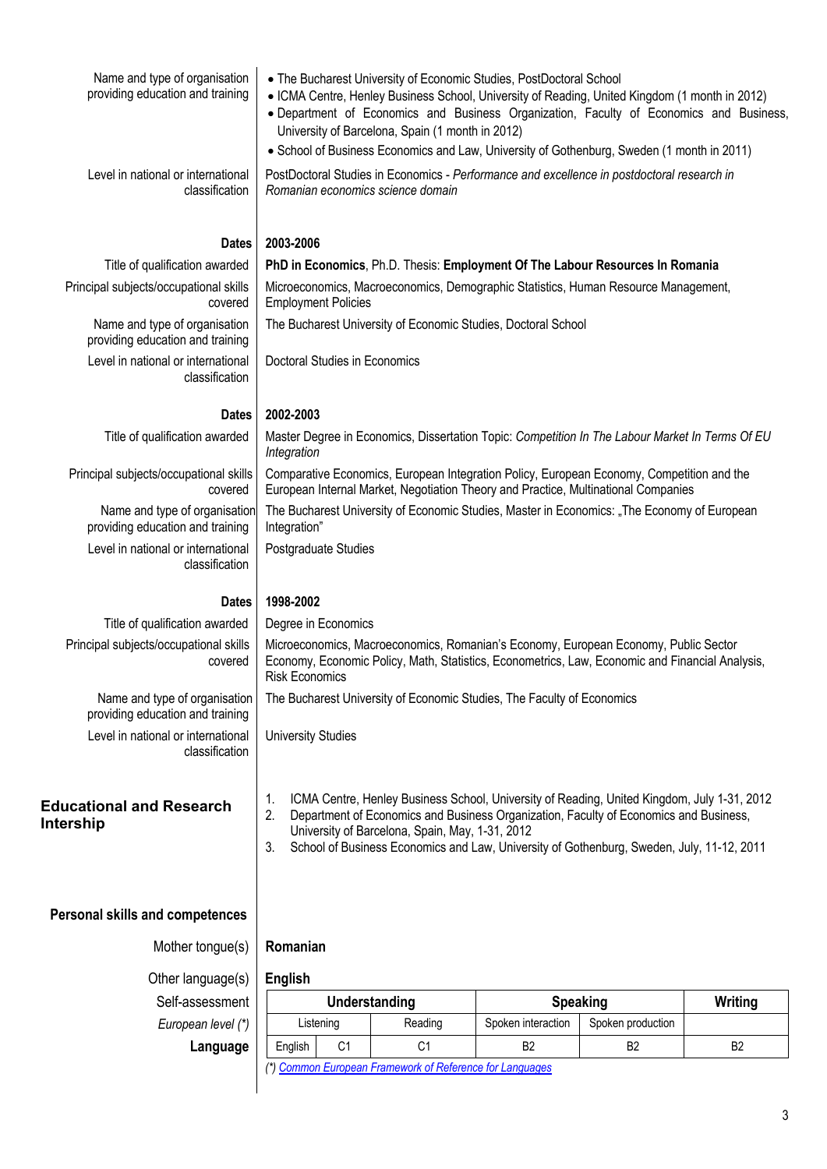| Name and type of organisation<br>providing education and training        | • The Bucharest University of Economic Studies, PostDoctoral School<br>• ICMA Centre, Henley Business School, University of Reading, United Kingdom (1 month in 2012)<br>. Department of Economics and Business Organization, Faculty of Economics and Business,<br>University of Barcelona, Spain (1 month in 2012)<br>• School of Business Economics and Law, University of Gothenburg, Sweden (1 month in 2011) |                      |                    |                   |                |
|--------------------------------------------------------------------------|--------------------------------------------------------------------------------------------------------------------------------------------------------------------------------------------------------------------------------------------------------------------------------------------------------------------------------------------------------------------------------------------------------------------|----------------------|--------------------|-------------------|----------------|
| Level in national or international<br>classification                     | PostDoctoral Studies in Economics - Performance and excellence in postdoctoral research in<br>Romanian economics science domain                                                                                                                                                                                                                                                                                    |                      |                    |                   |                |
| <b>Dates</b>                                                             | 2003-2006                                                                                                                                                                                                                                                                                                                                                                                                          |                      |                    |                   |                |
| Title of qualification awarded                                           | PhD in Economics, Ph.D. Thesis: Employment Of The Labour Resources In Romania                                                                                                                                                                                                                                                                                                                                      |                      |                    |                   |                |
| Principal subjects/occupational skills<br>covered                        | Microeconomics, Macroeconomics, Demographic Statistics, Human Resource Management,<br><b>Employment Policies</b>                                                                                                                                                                                                                                                                                                   |                      |                    |                   |                |
| Name and type of organisation<br>providing education and training        | The Bucharest University of Economic Studies, Doctoral School                                                                                                                                                                                                                                                                                                                                                      |                      |                    |                   |                |
| Level in national or international<br>classification                     | Doctoral Studies in Economics                                                                                                                                                                                                                                                                                                                                                                                      |                      |                    |                   |                |
| <b>Dates</b>                                                             | 2002-2003                                                                                                                                                                                                                                                                                                                                                                                                          |                      |                    |                   |                |
| Title of qualification awarded                                           | Master Degree in Economics, Dissertation Topic: Competition In The Labour Market In Terms Of EU<br>Integration                                                                                                                                                                                                                                                                                                     |                      |                    |                   |                |
| Principal subjects/occupational skills<br>covered                        | Comparative Economics, European Integration Policy, European Economy, Competition and the<br>European Internal Market, Negotiation Theory and Practice, Multinational Companies                                                                                                                                                                                                                                    |                      |                    |                   |                |
| Name and type of organisation<br>providing education and training        | The Bucharest University of Economic Studies, Master in Economics: "The Economy of European<br>Integration"                                                                                                                                                                                                                                                                                                        |                      |                    |                   |                |
| Level in national or international<br>classification                     | Postgraduate Studies                                                                                                                                                                                                                                                                                                                                                                                               |                      |                    |                   |                |
| <b>Dates</b>                                                             | 1998-2002                                                                                                                                                                                                                                                                                                                                                                                                          |                      |                    |                   |                |
| Title of qualification awarded<br>Principal subjects/occupational skills | Degree in Economics                                                                                                                                                                                                                                                                                                                                                                                                |                      |                    |                   |                |
| covered                                                                  | Microeconomics, Macroeconomics, Romanian's Economy, European Economy, Public Sector<br>Economy, Economic Policy, Math, Statistics, Econometrics, Law, Economic and Financial Analysis,<br><b>Risk Economics</b>                                                                                                                                                                                                    |                      |                    |                   |                |
| Name and type of organisation<br>providing education and training        | The Bucharest University of Economic Studies, The Faculty of Economics                                                                                                                                                                                                                                                                                                                                             |                      |                    |                   |                |
| Level in national or international<br>classification                     | <b>University Studies</b>                                                                                                                                                                                                                                                                                                                                                                                          |                      |                    |                   |                |
| <b>Educational and Research</b><br>Intership                             | ICMA Centre, Henley Business School, University of Reading, United Kingdom, July 1-31, 2012<br>1.<br>2.<br>Department of Economics and Business Organization, Faculty of Economics and Business,<br>University of Barcelona, Spain, May, 1-31, 2012<br>School of Business Economics and Law, University of Gothenburg, Sweden, July, 11-12, 2011<br>3.                                                             |                      |                    |                   |                |
| <b>Personal skills and competences</b>                                   |                                                                                                                                                                                                                                                                                                                                                                                                                    |                      |                    |                   |                |
| Mother tongue(s)                                                         | Romanian                                                                                                                                                                                                                                                                                                                                                                                                           |                      |                    |                   |                |
| Other language(s)                                                        | <b>English</b>                                                                                                                                                                                                                                                                                                                                                                                                     |                      |                    |                   |                |
| Self-assessment                                                          |                                                                                                                                                                                                                                                                                                                                                                                                                    | <b>Understanding</b> | <b>Speaking</b>    |                   | Writing        |
| European level (*)                                                       | Listening                                                                                                                                                                                                                                                                                                                                                                                                          | Reading              | Spoken interaction | Spoken production |                |
| Language                                                                 | C <sub>1</sub><br>English<br>(*) Common European Framework of Reference for Languages                                                                                                                                                                                                                                                                                                                              | C <sub>1</sub>       | B <sub>2</sub>     | B <sub>2</sub>    | B <sub>2</sub> |
|                                                                          |                                                                                                                                                                                                                                                                                                                                                                                                                    |                      |                    |                   |                |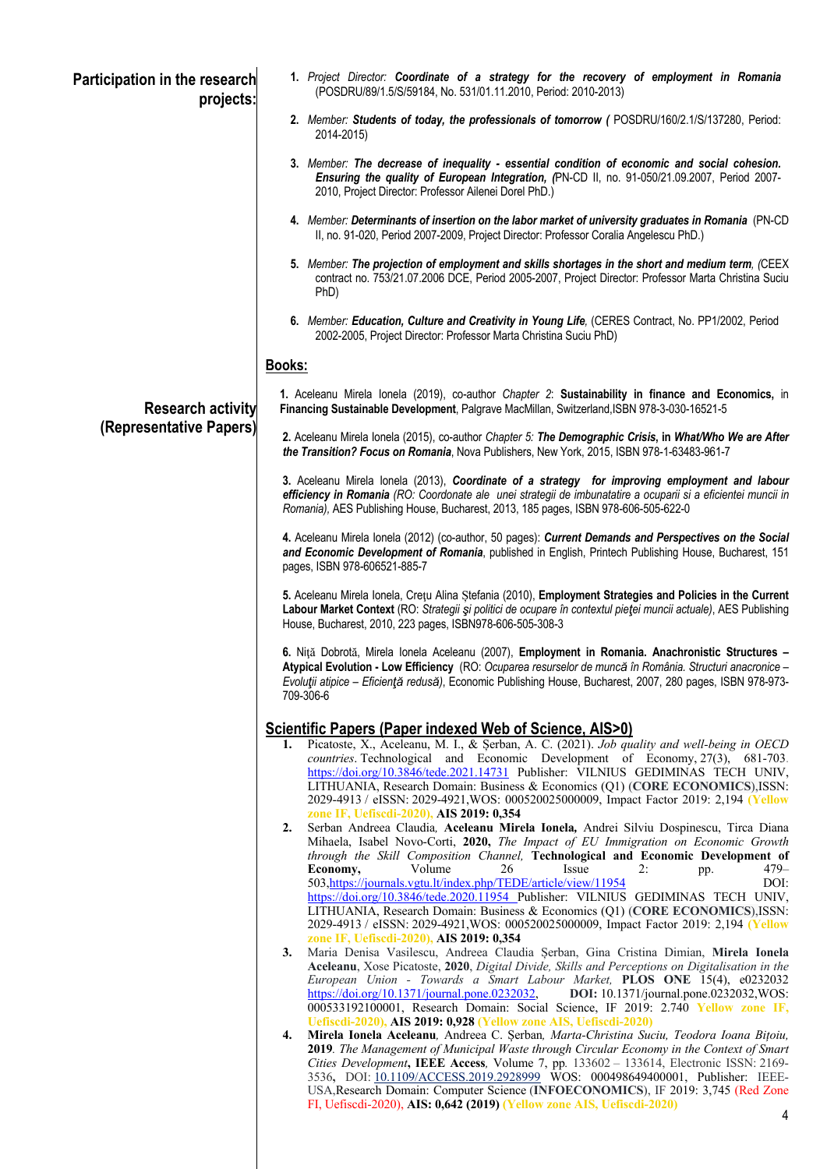| Participation in the research<br>projects:          | 1. Project Director: Coordinate of a strategy for the recovery of employment in Romania<br>(POSDRU/89/1.5/S/59184, No. 531/01.11.2010, Period: 2010-2013)                                                                                                                                                                                                                                                                                                                                                                                                                                              |
|-----------------------------------------------------|--------------------------------------------------------------------------------------------------------------------------------------------------------------------------------------------------------------------------------------------------------------------------------------------------------------------------------------------------------------------------------------------------------------------------------------------------------------------------------------------------------------------------------------------------------------------------------------------------------|
|                                                     | 2. Member: Students of today, the professionals of tomorrow (POSDRU/160/2.1/S/137280, Period:<br>2014-2015)                                                                                                                                                                                                                                                                                                                                                                                                                                                                                            |
|                                                     | 3. Member: The decrease of inequality - essential condition of economic and social cohesion.<br>Ensuring the quality of European Integration, (PN-CD II, no. 91-050/21.09.2007, Period 2007-<br>2010, Project Director: Professor Ailenei Dorel PhD.)                                                                                                                                                                                                                                                                                                                                                  |
|                                                     | 4. Member: Determinants of insertion on the labor market of university graduates in Romania (PN-CD<br>II, no. 91-020, Period 2007-2009, Project Director: Professor Coralia Angelescu PhD.)                                                                                                                                                                                                                                                                                                                                                                                                            |
|                                                     | 5. Member: The projection of employment and skills shortages in the short and medium term, (CEEX<br>contract no. 753/21.07.2006 DCE, Period 2005-2007, Project Director: Professor Marta Christina Suciu<br>PhD)                                                                                                                                                                                                                                                                                                                                                                                       |
|                                                     | 6. Member: Education, Culture and Creativity in Young Life, (CERES Contract, No. PP1/2002, Period<br>2002-2005, Project Director: Professor Marta Christina Suciu PhD)                                                                                                                                                                                                                                                                                                                                                                                                                                 |
|                                                     | Books:                                                                                                                                                                                                                                                                                                                                                                                                                                                                                                                                                                                                 |
| <b>Research activity</b><br>(Representative Papers) | 1. Aceleanu Mirela lonela (2019), co-author Chapter 2: Sustainability in finance and Economics, in<br>Financing Sustainable Development, Palgrave MacMillan, Switzerland, ISBN 978-3-030-16521-5                                                                                                                                                                                                                                                                                                                                                                                                       |
|                                                     | 2. Aceleanu Mirela lonela (2015), co-author Chapter 5: The Demographic Crisis, in What/Who We are After<br>the Transition? Focus on Romania, Nova Publishers, New York, 2015, ISBN 978-1-63483-961-7                                                                                                                                                                                                                                                                                                                                                                                                   |
|                                                     | 3. Aceleanu Mirela lonela (2013), Coordinate of a strategy for improving employment and labour<br>efficiency in Romania (RO: Coordonate ale unei strategii de imbunatatire a ocuparii si a eficientei muncii in<br>Romania), AES Publishing House, Bucharest, 2013, 185 pages, ISBN 978-606-505-622-0                                                                                                                                                                                                                                                                                                  |
|                                                     | 4. Aceleanu Mirela lonela (2012) (co-author, 50 pages): Current Demands and Perspectives on the Social<br>and Economic Development of Romania, published in English, Printech Publishing House, Bucharest, 151<br>pages, ISBN 978-606521-885-7                                                                                                                                                                                                                                                                                                                                                         |
|                                                     | 5. Aceleanu Mirela Ionela, Cretu Alina Stefania (2010), Employment Strategies and Policies in the Current<br>Labour Market Context (RO: Strategii și politici de ocupare în contextul pieței muncii actuale), AES Publishing<br>House, Bucharest, 2010, 223 pages, ISBN978-606-505-308-3                                                                                                                                                                                                                                                                                                               |
|                                                     | 6. Niță Dobrotă, Mirela Ionela Aceleanu (2007), Employment in Romania. Anachronistic Structures -<br>Atypical Evolution - Low Efficiency (RO: Ocuparea resurselor de muncă în România. Structuri anacronice -<br>Evoluții atipice - Eficiență redusă), Economic Publishing House, Bucharest, 2007, 280 pages, ISBN 978-973-<br>709-306-6                                                                                                                                                                                                                                                               |
|                                                     | <b>Scientific Papers (Paper indexed Web of Science, AIS&gt;0)</b>                                                                                                                                                                                                                                                                                                                                                                                                                                                                                                                                      |
|                                                     | Picatoste, X., Aceleanu, M. I., & Serban, A. C. (2021). Job quality and well-being in OECD<br>1.<br><i>countries</i> . Technological and Economic Development of Economy, 27(3), 681-703.<br>https://doi.org/10.3846/tede.2021.14731 Publisher: VILNIUS GEDIMINAS TECH UNIV,<br>LITHUANIA, Research Domain: Business & Economics (Q1) (CORE ECONOMICS), ISSN:<br>2029-4913 / eISSN: 2029-4921, WOS: 000520025000009, Impact Factor 2019: 2,194 (Yellow                                                                                                                                                 |
|                                                     | zone IF, Uefiscdi-2020), AIS 2019: 0,354<br>Serban Andreea Claudia, Aceleanu Mirela Ionela, Andrei Silviu Dospinescu, Tirca Diana<br>2.<br>Mihaela, Isabel Novo-Corti, 2020, The Impact of EU Immigration on Economic Growth<br>through the Skill Composition Channel, Technological and Economic Development of<br>Volume<br>Economy,<br>26<br>Issue<br>2:<br>479-<br>pp.                                                                                                                                                                                                                             |
|                                                     | 503, https://journals.vgtu.lt/index.php/TEDE/article/view/11954<br>DOI:<br>https://doi.org/10.3846/tede.2020.11954 Publisher: VILNIUS GEDIMINAS TECH UNIV,<br>LITHUANIA, Research Domain: Business & Economics (Q1) (CORE ECONOMICS), ISSN:<br>2029-4913 / eISSN: 2029-4921, WOS: 000520025000009, Impact Factor 2019: 2,194 (Yellow<br>zone IF, Uefiscdi-2020), AIS 2019: 0,354                                                                                                                                                                                                                       |
|                                                     | Maria Denisa Vasilescu, Andreea Claudia Șerban, Gina Cristina Dimian, Mirela Ionela<br>3.<br>Aceleanu, Xose Picatoste, 2020, Digital Divide, Skills and Perceptions on Digitalisation in the<br>European Union - Towards a Smart Labour Market, PLOS ONE 15(4), e0232032<br>https://doi.org/10.1371/journal.pone.0232032,<br>DOI: 10.1371/journal.pone.0232032, WOS:<br>000533192100001, Research Domain: Social Science, IF 2019: 2.740 Yellow zone IF,                                                                                                                                               |
|                                                     | Uefiscdi-2020), AIS 2019: 0,928 (Yellow zone AIS, Uefiscdi-2020)<br>Mirela Ionela Aceleanu, Andreea C. Șerban, Marta-Christina Suciu, Teodora Ioana Bițoiu,<br>4.<br>2019. The Management of Municipal Waste through Circular Economy in the Context of Smart<br>Cities Development, IEEE Access, Volume 7, pp. 133602 - 133614, Electronic ISSN: 2169-<br>3536, DOI: 10.1109/ACCESS.2019.2928999 WOS: 000498649400001, Publisher: IEEE-<br>USA, Research Domain: Computer Science (INFOECONOMICS), IF 2019: 3,745 (Red Zone<br>FI, Uefiscdi-2020), AIS: 0,642 (2019) (Yellow zone AIS, Uefiscdi-2020) |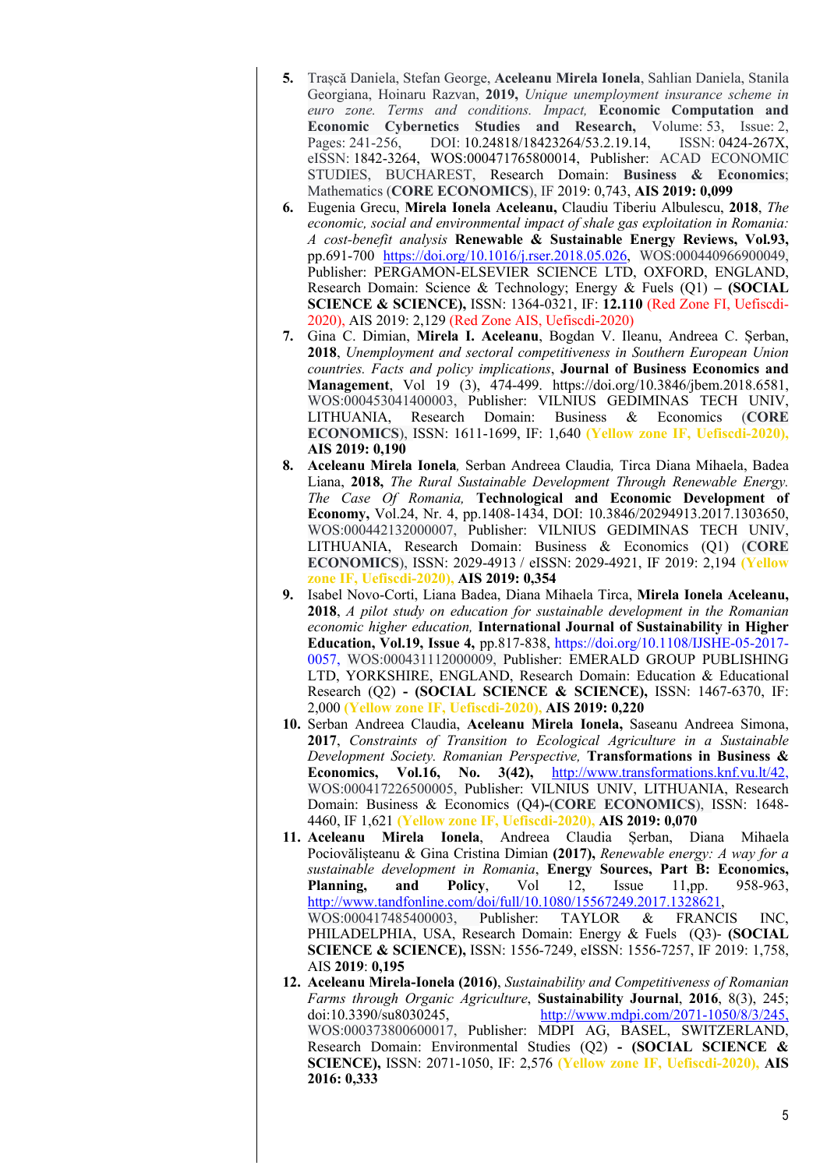- **5.** Trașcă Daniela, Stefan George, **Aceleanu Mirela Ionela**, Sahlian Daniela, Stanila Georgiana, Hoinaru Razvan, **2019,** *Unique unemployment insurance scheme in euro zone. Terms and conditions. Impact,* **Economic Computation and Economic Cybernetics Studies and Research,** Volume: 53, Issue: 2, Pages: 241-256, DOI: 10.24818/18423264/53.2.19.14, ISSN: 0424-267X, eISSN: 1842-3264, WOS:000471765800014, Publisher: ACAD ECONOMIC STUDIES, BUCHAREST, Research Domain: **Business & Economics**; Mathematics (**CORE ECONOMICS**), IF 2019: 0,743, **AIS 2019: 0,099**
- **6.** Eugenia Grecu, **Mirela Ionela Aceleanu,** Claudiu Tiberiu Albulescu, **2018**, *The economic, social and environmental impact of shale gas exploitation in Romania: A cost-benefit analysis* **Renewable & Sustainable Energy Reviews, Vol.93,** pp.691-700 https://doi.org/10.1016/j.rser.2018.05.026, WOS:000440966900049, Publisher: PERGAMON-ELSEVIER SCIENCE LTD, OXFORD, ENGLAND, Research Domain: Science & Technology; Energy & Fuels (Q1) **– (SOCIAL SCIENCE & SCIENCE),** ISSN: 1364-0321, IF: **12.110** (Red Zone FI, Uefiscdi-2020), AIS 2019: 2,129 (Red Zone AIS, Uefiscdi-2020)
- **7.** Gina C. Dimian, **Mirela I. Aceleanu**, Bogdan V. Ileanu, Andreea C. Șerban, **2018**, *Unemployment and sectoral competitiveness in Southern European Union countries. Facts and policy implications*, **Journal of Business Economics and Management**, Vol 19 (3), 474-499. https://doi.org/10.3846/jbem.2018.6581, WOS:000453041400003, Publisher: VILNIUS GEDIMINAS TECH UNIV, LITHUANIA, Research Domain: Business & Economics (**CORE ECONOMICS**), ISSN: 1611-1699, IF: 1,640 **(Yellow zone IF, Uefiscdi-2020), AIS 2019: 0,190**
- **8. Aceleanu Mirela Ionela***,* Serban Andreea Claudia*,* Tirca Diana Mihaela, Badea Liana, **2018,** *The Rural Sustainable Development Through Renewable Energy. The Case Of Romania,* **Technological and Economic Development of Economy,** Vol.24, Nr. 4, pp.1408-1434, DOI: 10.3846/20294913.2017.1303650, WOS:000442132000007, Publisher: VILNIUS GEDIMINAS TECH UNIV, LITHUANIA, Research Domain: Business & Economics (Q1) (**CORE ECONOMICS**), ISSN: 2029-4913 / eISSN: 2029-4921, IF 2019: 2,194 **(Yellow zone IF, Uefiscdi-2020), AIS 2019: 0,354**
- **9.** Isabel Novo-Corti, Liana Badea, Diana Mihaela Tirca, **Mirela Ionela Aceleanu, 2018**, *A pilot study on education for sustainable development in the Romanian economic higher education,* **International Journal of Sustainability in Higher Education, Vol.19, Issue 4,** pp.817-838, https://doi.org/10.1108/IJSHE-05-2017- 0057, WOS:000431112000009, Publisher: EMERALD GROUP PUBLISHING LTD, YORKSHIRE, ENGLAND, Research Domain: Education & Educational Research (Q2) **- (SOCIAL SCIENCE & SCIENCE),** ISSN: 1467-6370, IF: 2,000 **(Yellow zone IF, Uefiscdi-2020), AIS 2019: 0,220**
- **10.** Serban Andreea Claudia, **Aceleanu Mirela Ionela,** Saseanu Andreea Simona, **2017**, *Constraints of Transition to Ecological Agriculture in a Sustainable Development Society. Romanian Perspective,* **Transformations in Business & Economics, Vol.16, No. 3(42),** http://www.transformations.knf.vu.lt/42, WOS:000417226500005, Publisher: VILNIUS UNIV, LITHUANIA, Research Domain: Business & Economics (Q4)**-**(**CORE ECONOMICS**), ISSN: 1648- 4460, IF 1,621 **(Yellow zone IF, Uefiscdi-2020), AIS 2019: 0,070**
- **11. Aceleanu Mirela Ionela**, Andreea Claudia Șerban, Diana Mihaela Pociovălișteanu & Gina Cristina Dimian **(2017),** *Renewable energy: A way for a sustainable development in Romania*, **Energy Sources, Part B: Economics, Planning, and Policy**, Vol 12, Issue 11,pp. 958-963, http://www.tandfonline.com/doi/full/10.1080/15567249.2017.1328621, WOS:000417485400003, Publisher: TAYLOR & FRANCIS INC, PHILADELPHIA, USA, Research Domain: Energy & Fuels (Q3)- **(SOCIAL SCIENCE & SCIENCE),** ISSN: 1556-7249, eISSN: 1556-7257, IF 2019: 1,758, AIS **2019**: **0,195**
- **12. Aceleanu Mirela-Ionela (2016)**, *Sustainability and Competitiveness of Romanian Farms through Organic Agriculture*, **Sustainability Journal**, **2016**, 8(3), 245; doi:10.3390/su8030245, http://www.mdpi.com/2071-1050/8/3/245, WOS:000373800600017, Publisher: MDPI AG, BASEL, SWITZERLAND, Research Domain: Environmental Studies (Q2) **- (SOCIAL SCIENCE & SCIENCE),** ISSN: 2071-1050, IF: 2,576 **(Yellow zone IF, Uefiscdi-2020), AIS 2016: 0,333**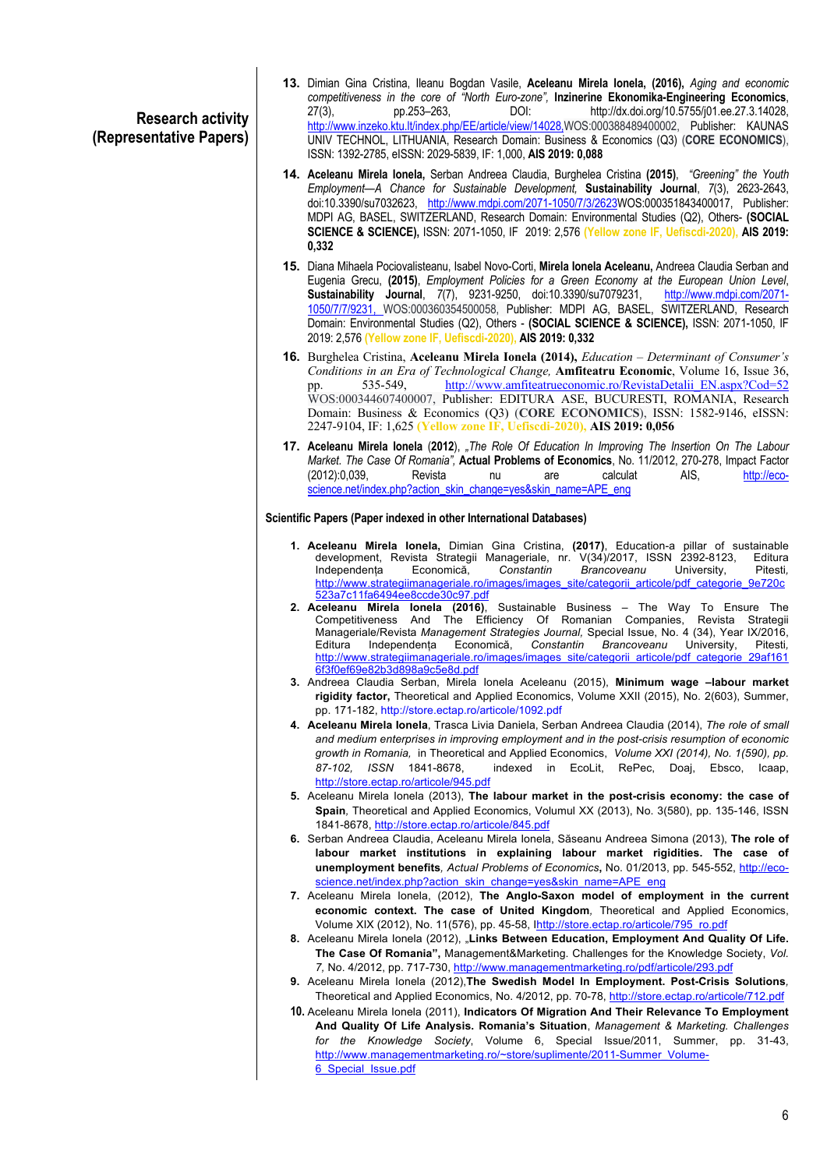## **Research activity (Representative Papers)**

- **13.** Dimian Gina Cristina, Ileanu Bogdan Vasile, **Aceleanu Mirela Ionela, (2016),** *Aging and economic competitiveness in the core of "North Euro-zone",* **Inzinerine Ekonomika-Engineering Economics**, 27(3), pp.253–263, DOI: http://dx.doi.org/10.5755/j01.ee.27.3.14028, http://www.inzeko.ktu.lt/index.php/EE/article/view/14028,WOS:000388489400002, Publisher: KAUNAS UNIV TECHNOL, LITHUANIA, Research Domain: Business & Economics (Q3) (**CORE ECONOMICS**), ISSN: 1392-2785, eISSN: 2029-5839, IF: 1,000, **AIS 2019: 0,088**
- **14. Aceleanu Mirela Ionela,** Serban Andreea Claudia, Burghelea Cristina **(2015)**, *"Greening" the Youth Employment—A Chance for Sustainable Development,* **Sustainability Journal**, *7*(3), 2623-2643, doi:10.3390/su7032623, http://www.mdpi.com/2071-1050/7/3/2623WOS:000351843400017, Publisher: MDPI AG, BASEL, SWITZERLAND, Research Domain: Environmental Studies (Q2), Others- **(SOCIAL SCIENCE & SCIENCE),** ISSN: 2071-1050, IF 2019: 2,576 **(Yellow zone IF, Uefiscdi-2020), AIS 2019: 0,332**
- **15.** Diana Mihaela Pociovalisteanu, Isabel Novo-Corti, **Mirela Ionela Aceleanu,** Andreea Claudia Serban and Eugenia Grecu, **(2015)**, *Employment Policies for a Green Economy at the European Union Level*, **Sustainability Journal,** 7(7), 9231-9250, doi:10.3390/su7079231, 1050/7/7/9231, WOS:000360354500058, Publisher: MDPI AG, BASEL, SWITZERLAND, Research Domain: Environmental Studies (Q2), Others - **(SOCIAL SCIENCE & SCIENCE),** ISSN: 2071-1050, IF 2019: 2,576 **(Yellow zone IF, Uefiscdi-2020), AIS 2019: 0,332**
- **16.** Burghelea Cristina, **Aceleanu Mirela Ionela (2014),** *Education – Determinant of Consumer's Conditions in an Era of Technological Change*, **Amfiteatru Economic**, Volume 16, Issue 36, pp. 535-549, http://www.amfiteatrueconomic.ro/RevistaDetalii EN.aspx?Cod=52 pp. 535-549, http://www.amfiteatrueconomic.ro/RevistaDetalii\_EN.aspx?Cod=52 WOS:000344607400007, Publisher: EDITURA ASE, BUCURESTI, ROMANIA, Research Domain: Business & Economics (Q3) (**CORE ECONOMICS**), ISSN: 1582-9146, eISSN: 2247-9104, IF: 1,625 **(Yellow zone IF, Uefiscdi-2020), AIS 2019: 0,056**
- **17. Aceleanu Mirela Ionela** (**2012**), *"The Role Of Education In Improving The Insertion On The Labour Market. The Case Of Romania",* **Actual Problems of Economics**, No. 11/2012, 270-278, Impact Factor (2012):0,039, Revista nu are calculat AIS, http://ecoscience.net/index.php?action\_skin\_change=yes&skin\_name=APE\_eng

### **Scientific Papers (Paper indexed in other International Databases)**

- **1. Aceleanu Mirela Ionela,** Dimian Gina Cristina, **(2017)**, Education-a pillar of sustainable development, Revista Strategii Manageriale, nr. V(34)/2017, ISSN 2392-8123, Editura<br>Independenta Economică, Constantin Brancoveanu University, Pitesti, Independența Economică, *Constantin Brancoveanu* University, Pitesti*,*  http://www.strategiimanageriale.ro/images/images\_site/categorii\_articole/pdf\_categorie\_9e720c 523a7c11fa6494ee8ccde30c97.pdf
- **2. Aceleanu Mirela Ionela (2016)**, Sustainable Business The Way To Ensure The Competitiveness And The Efficiency Of Romanian Companies, Revista Strategii Manageriale/Revista *Management Strategies Journal,* Special Issue, No. 4 (34), Year IX/2016, Editura Independența Economică, *Constantin Brancoveanu* University, Pitesti*,* http://www.strategiimanageriale.ro/images/images\_site/categorii\_articole/pdf\_categorie\_29af161 6f3f0ef69e82b3d898a9c5e8d.pdf
- **3.** Andreea Claudia Serban, Mirela Ionela Aceleanu (2015), **Minimum wage –labour market rigidity factor,** Theoretical and Applied Economics, Volume XXII (2015), No. 2(603), Summer, pp. 171-182, http://store.ectap.ro/articole/1092.pdf
- **4. Aceleanu Mirela Ionela**, Trasca Livia Daniela, Serban Andreea Claudia (2014), *The role of small and medium enterprises in improving employment and in the post-crisis resumption of economic growth in Romania,* in Theoretical and Applied Economics, *Volume XXI (2014), No. 1(590), pp. 87-102, ISSN* 1841-8678, indexed in EcoLit, RePec, Doaj, Ebsco, Icaap, http://store.ectap.ro/articole/945.pdf
- **5.** Aceleanu Mirela Ionela (2013), **The labour market in the post-crisis economy: the case of Spain***,* Theoretical and Applied Economics, Volumul XX (2013), No. 3(580), pp. 135-146, ISSN 1841-8678, http://store.ectap.ro/articole/845.pdf
- **6.** Serban Andreea Claudia, Aceleanu Mirela Ionela, Săseanu Andreea Simona (2013), **The role of labour market institutions in explaining labour market rigidities. The case of unemployment benefits***, Actual Problems of Economics***,** No. 01/2013, pp. 545-552, http://ecoscience.net/index.php?action\_skin\_change=yes&skin\_name=APE\_eng
- **7.** Aceleanu Mirela Ionela, (2012), **The Anglo-Saxon model of employment in the current economic context. The case of United Kingdom***,* Theoretical and Applied Economics, Volume XIX (2012), No. 11(576), pp. 45-58, Ihttp://store.ectap.ro/articole/795\_ro.pdf
- **8.** Aceleanu Mirela Ionela (2012), "**Links Between Education, Employment And Quality Of Life. The Case Of Romania",** Management&Marketing. Challenges for the Knowledge Society, *Vol. 7,* No. 4/2012, pp. 717-730, http://www.managementmarketing.ro/pdf/articole/293.pdf
- **9.** Aceleanu Mirela Ionela (2012),**The Swedish Model In Employment. Post-Crisis Solutions***,*  Theoretical and Applied Economics, No. 4/2012, pp. 70-78, http://store.ectap.ro/articole/712.pdf
- **10.** Aceleanu Mirela Ionela (2011), **Indicators Of Migration And Their Relevance To Employment And Quality Of Life Analysis. Romania's Situation**, *Management & Marketing. Challenges for the Knowledge Society*, Volume 6, Special Issue/2011, Summer, pp. 31-43, http://www.managementmarketing.ro/~store/suplimente/2011-Summer\_Volume-6 Special Issue.pdf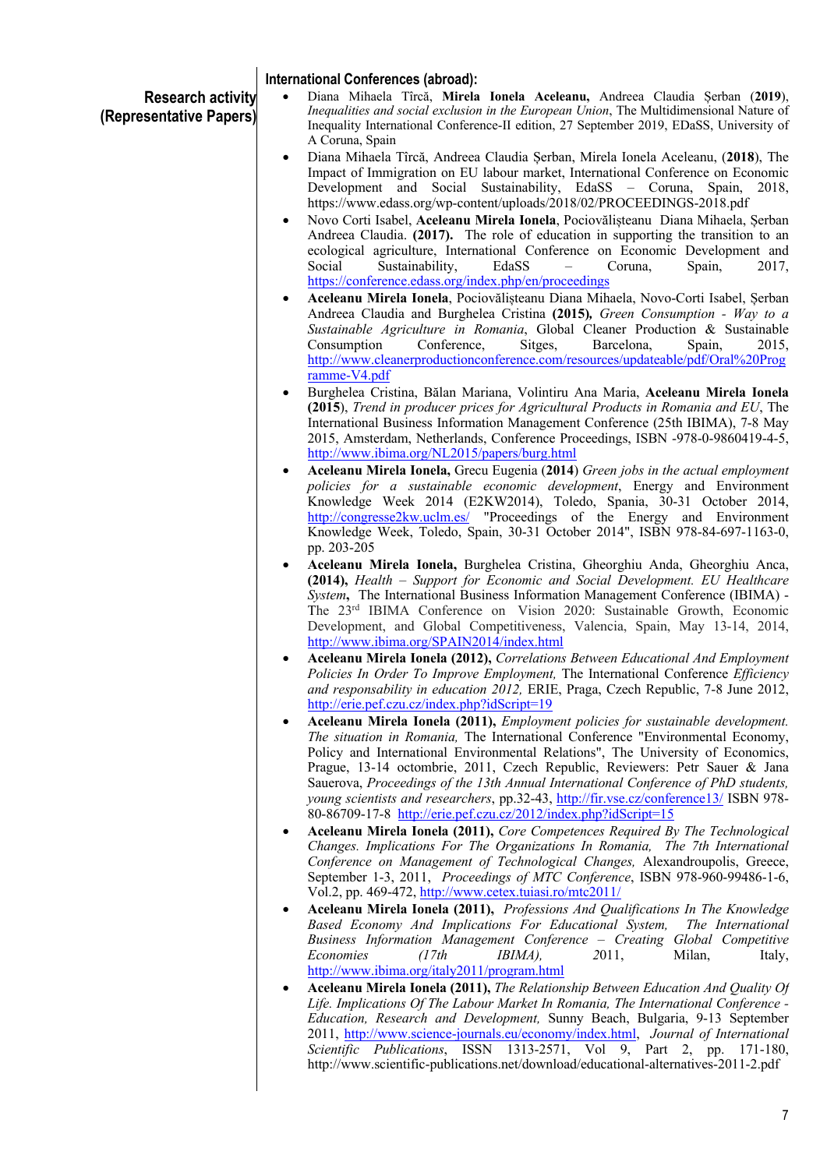### **Research activity (Representative Papers) International Conferences (abroad):** • Diana Mihaela Tîrcă, **Mirela Ionela Aceleanu,** Andreea Claudia Șerban (**2019**), *Inequalities and social exclusion in the European Union*, The Multidimensional Nature of Inequality International Conference-II edition, 27 September 2019, EDaSS, University of A Coruna, Spain • Diana Mihaela Tîrcă, Andreea Claudia Șerban, Mirela Ionela Aceleanu, (**2018**), The Impact of Immigration on EU labour market, International Conference on Economic Development and Social Sustainability, EdaSS – Coruna, Spain, 2018, https://www.edass.org/wp-content/uploads/2018/02/PROCEEDINGS-2018.pdf • Novo Corti Isabel, **Aceleanu Mirela Ionela**, Pociovălișteanu Diana Mihaela, Șerban Andreea Claudia. **(2017).** The role of education in supporting the transition to an ecological agriculture, International Conference on Economic Development and Social Sustainability, EdaSS – Coruna, Spain, 2017, https://conference.edass.org/index.php/en/proceedings • **Aceleanu Mirela Ionela**, Pociovălișteanu Diana Mihaela, Novo-Corti Isabel, Șerban

- Andreea Claudia and Burghelea Cristina **(2015)***, Green Consumption - Way to a Sustainable Agriculture in Romania*, Global Cleaner Production & Sustainable Consumption Conference, Sitges, Barcelona, Spain, 2015, http://www.cleanerproductionconference.com/resources/updateable/pdf/Oral%20Prog ramme-V4.pdf
- Burghelea Cristina, Bălan Mariana, Volintiru Ana Maria, **Aceleanu Mirela Ionela (2015**), *Trend in producer prices for Agricultural Products in Romania and EU*, The International Business Information Management Conference (25th IBIMA), 7-8 May 2015, Amsterdam, Netherlands, Conference Proceedings, ISBN -978-0-9860419-4-5, http://www.ibima.org/NL2015/papers/burg.html
- **Aceleanu Mirela Ionela,** Grecu Eugenia (**2014**) *Green jobs in the actual employment policies for a sustainable economic development*, Energy and Environment Knowledge Week 2014 (E2KW2014), Toledo, Spania, 30-31 October 2014, http://congresse2kw.uclm.es/ "Proceedings of the Energy and Environment Knowledge Week, Toledo, Spain, 30-31 October 2014", ISBN 978-84-697-1163-0, pp. 203-205
- **Aceleanu Mirela Ionela,** Burghelea Cristina, Gheorghiu Anda, Gheorghiu Anca, **(2014),** *Health – Support for Economic and Social Development. EU Healthcare System***,** The International Business Information Management Conference (IBIMA) - The 23rd IBIMA Conference on Vision 2020: Sustainable Growth, Economic Development, and Global Competitiveness, Valencia, Spain, May 13-14, 2014, http://www.ibima.org/SPAIN2014/index.html
- **Aceleanu Mirela Ionela (2012),** *Correlations Between Educational And Employment Policies In Order To Improve Employment,* The International Conference *Efficiency and responsability in education 2012,* ERIE, Praga, Czech Republic, 7-8 June 2012, http://erie.pef.czu.cz/index.php?idScript=19
- **Aceleanu Mirela Ionela (2011),** *Employment policies for sustainable development. The situation in Romania,* The International Conference "Environmental Economy, Policy and International Environmental Relations", The University of Economics, Prague, 13-14 octombrie, 2011, Czech Republic, Reviewers: Petr Sauer & Jana Sauerova, *Proceedings of the 13th Annual International Conference of PhD students, young scientists and researchers*, pp.32-43, http://fir.vse.cz/conference13/ ISBN 978- 80-86709-17-8 http://erie.pef.czu.cz/2012/index.php?idScript=15
- **Aceleanu Mirela Ionela (2011),** *Core Competences Required By The Technological Changes. Implications For The Organizations In Romania, The 7th International Conference on Management of Technological Changes,* Alexandroupolis, Greece, September 1-3, 2011, *Proceedings of MTC Conference*, ISBN 978-960-99486-1-6, Vol.2, pp. 469-472, http://www.cetex.tuiasi.ro/mtc2011/
- **Aceleanu Mirela Ionela (2011),** *Professions And Qualifications In The Knowledge Based Economy And Implications For Educational System, The International Business Information Management Conference – Creating Global Competitive Economies (17th IBIMA)*, 2011, Milan, Italy, http://www.ibima.org/italy2011/program.html
- **Aceleanu Mirela Ionela (2011),** *The Relationship Between Education And Quality Of Life. Implications Of The Labour Market In Romania, The International Conference - Education, Research and Development,* Sunny Beach, Bulgaria, 9-13 September 2011, http://www.science-journals.eu/economy/index.html, *Journal of International Scientific Publications*, ISSN 1313-2571, Vol 9, Part 2, pp. 171-180, http://www.scientific-publications.net/download/educational-alternatives-2011-2.pdf